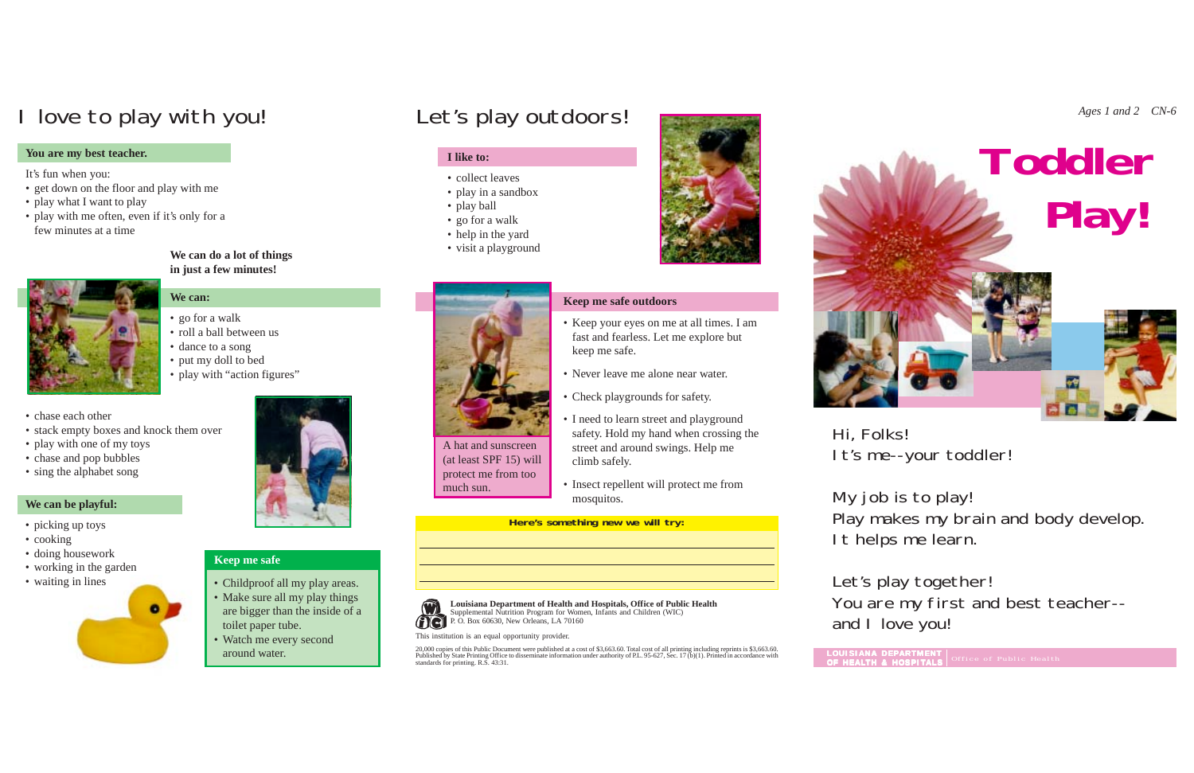**We can do a lot of things in just a few minutes!**

- **We can:**
- go for a walk
- roll a ball between us

- picking up toys
- cooking
- doing housework
- working in the garden
- waiting in lines





### **We can be playful:**

### **I like to:**

- collect leaves
- play in a sandbox
- play ball
- go for a walk
- help in the yard
- visit a playground



**Here's something new we will try:**



## **Keep me safe outdoors**

- Keep your eyes on me at all times. I am fast and fearless. Let me explore but keep me safe.
- Never leave me alone near water.
- Check playgrounds for safety.
- I need to learn street and playground safety. Hold my hand when crossing the street and around swings. Help me climb safely.
- Insect repellent will protect me from mosquitos.

Hi, Folks!

It's me--your toddler!

My job is to play! Play makes my brain and body develop. It helps me learn.

Let's play together! You are my first and best teacher- and I love you!

- dance to a song
- put my doll to bed
- play with "action figures"
- chase each other
- stack empty boxes and knock them over
- play with one of my toys
- chase and pop bubbles
- sing the alphabet song

- Childproof all my play areas.
- Make sure all my play things are bigger than the inside of a toilet paper tube.
- Watch me every second around water.

A hat and sunscreen (at least SPF 15) will protect me from too much sun.



**Louisiana Department of Health and Hospitals, Office of Public Health** Supplemental Nutrition Program for Women, Infants and Children (WIC) P. O. Box 60630, New Orleans, LA 70160

This institution is an equal opportunity provider.

20,000 copies of this Public Document were published at a cost of \$3,663.60. Total cost of all printing including reprints is \$3,663.60. Published by State Printing Office to disseminate information under authority of P.L. 95-627, Sec. 17 (b)(1). Printed in accordance with standards for printing. R.S. 43:31.



## I love to play with you! Let's play outdoors!

### **You are my best teacher.**

It's fun when you:

- get down on the floor and play with me
- play what I want to play
- play with me often, even if it's only for a few minutes at a time



## **Keep me safe**

**LOUISIANA DEP A R TMENT**